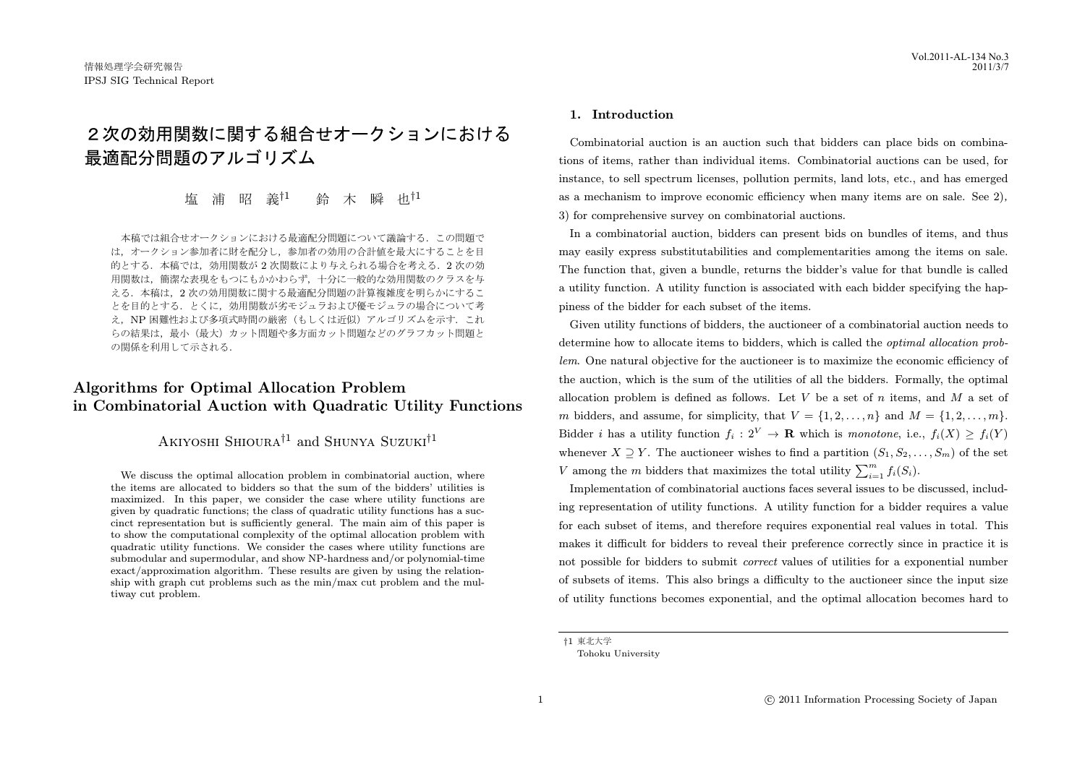# 2次の効用関数に関する組合せオークションにおける 最適配分問題のアルゴリズム

## 塩浦昭義<sup>†1</sup> 鈴木瞬地†1

本稿では組合せオークションにおける最適配分問題について議論する.この問題で は,オークション参加者に財を配分し,参加者の効用の合計値を最大にすることを目 的とする. 本稿では、効用関数が2次関数により与えられる場合を考える. 2次の効 用関数は,簡潔な表現をもつにもかかわらず,十分に一般的な効用関数のクラスを与 える.本稿は,2 次の効用関数に関する最適配分問題の計算複雑度を明らかにするこ とを目的とする.とくに,効用関数が劣モジュラおよび優モジュラの場合について考 え, NP 困難性および多項式時間の厳密(もしくは近似)アルゴリズムを示す. これ らの結果は、最小(最大)カット問題や多方面カット問題などのグラフカット問題と の関係を利用して示される.

# Algorithms for Optimal Allocation Problem in Combinatorial Auction with Quadratic Utility Functions

AKIYOSHI SHIOURA<sup>†1</sup> and SHIINYA SUZUKI<sup>†1</sup>

We discuss the optimal allocation problem in combinatorial auction, where the items are allocated to bidders so that the sum of the bidders' utilities is maximized. In this paper, we consider the case where utility functions are given by quadratic functions; the class of quadratic utility functions has a succinct representation but is sufficiently general. The main aim of this paper is to show the computational complexity of the optimal allocation problem with quadratic utility functions. We consider the cases where utility functions are submodular and supermodular, and show NP-hardness and/or polynomial-time exact/approximation algorithm. These results are given by using the relationship with graph cut problems such as the min/max cut problem and the multiway cut problem.

### 1. Introduction

Combinatorial auction is an auction such that bidders can place bids on combinations of items, rather than individual items. Combinatorial auctions can be used, for instance, to sell spectrum licenses, pollution permits, land lots, etc., and has emerged as a mechanism to improve economic efficiency when many items are on sale. See 2), 3) for comprehensive survey on combinatorial auctions.

In a combinatorial auction, bidders can present bids on bundles of items, and thus may easily express substitutabilities and complementarities among the items on sale. The function that, given a bundle, returns the bidder's value for that bundle is called a utility function. A utility function is associated with each bidder specifying the happiness of the bidder for each subset of the items.

Given utility functions of bidders, the auctioneer of a combinatorial auction needs to determine how to allocate items to bidders, which is called the optimal allocation problem. One natural objective for the auctioneer is to maximize the economic efficiency of the auction, which is the sum of the utilities of all the bidders. Formally, the optimal allocation problem is defined as follows. Let V be a set of n items, and M a set of m bidders, and assume, for simplicity, that  $V = \{1, 2, \ldots, n\}$  and  $M = \{1, 2, \ldots, m\}$ . Bidder *i* has a utility function  $f_i : 2^V \to \mathbf{R}$  which is monotone, i.e.,  $f_i(X) > f_i(Y)$ whenever  $X \supseteq Y$ . The auctioneer wishes to find a partition  $(S_1, S_2, \ldots, S_m)$  of the set V among the m bidders that maximizes the total utility  $\sum_{i=1}^{m} f_i(S_i)$ .

Implementation of combinatorial auctions faces several issues to be discussed, including representation of utility functions. A utility function for a bidder requires a value for each subset of items, and therefore requires exponential real values in total. This makes it difficult for bidders to reveal their preference correctly since in practice it is not possible for bidders to submit correct values of utilities for a exponential number of subsets of items. This also brings a difficulty to the auctioneer since the input size of utility functions becomes exponential, and the optimal allocation becomes hard to

<sup>†</sup>1 東北大学

Tohoku University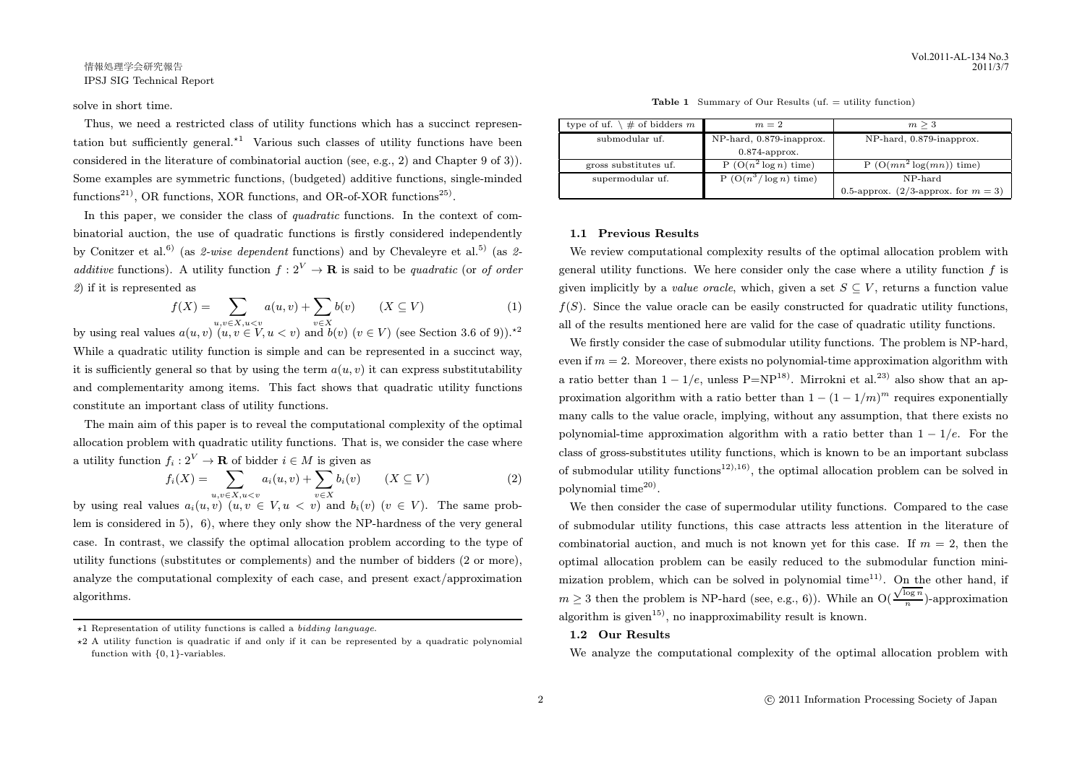solve in short time.

Thus, we need a restricted class of utility functions which has a succinct representation but sufficiently general.<sup> $*1$ </sup> Various such classes of utility functions have been considered in the literature of combinatorial auction (see, e.g., 2) and Chapter 9 of 3)). Some examples are symmetric functions, (budgeted) additive functions, single-minded functions<sup>21)</sup>, OR functions, XOR functions, and OR-of-XOR functions<sup>25)</sup>.

In this paper, we consider the class of *quadratic* functions. In the context of combinatorial auction, the use of quadratic functions is firstly considered independently by Conitzer et al.<sup>6)</sup> (as 2-wise dependent functions) and by Chevaleyre et al.<sup>5)</sup> (as 2additive functions). A utility function  $f: 2^V \to \mathbf{R}$  is said to be quadratic (or of order 2) if it is represented as

$$
f(X) = \sum_{u,v \in X, u < v} a(u,v) + \sum_{v \in X} b(v) \qquad (X \subseteq V) \tag{1}
$$

by using real values  $a(u, v)$   $\begin{cases} u, v \in X, u < v \\ u, v \in V, u < v \end{cases}$  and  $b(v)$   $(v \in V)$  (see Section 3.6 of 9)).<sup>\*2</sup> While a quadratic utility function is simple and can be represented in a succinct way, it is sufficiently general so that by using the term  $a(u, v)$  it can express substitutability and complementarity among items. This fact shows that quadratic utility functions constitute an important class of utility functions.

The main aim of this paper is to reveal the computational complexity of the optimal allocation problem with quadratic utility functions. That is, we consider the case where a utility function  $f_i: 2^V \to \mathbf{R}$  of bidder  $i \in M$  is given as

$$
f_i(X) = \sum_{u,v \in X, u < v} a_i(u,v) + \sum_{v \in X} b_i(v) \qquad (X \subseteq V) \tag{2}
$$

by using real values  $a_i(u, v)$   $\begin{cases} u, v \in X, u < v \in X \\ u, v \in V, u \in v \end{cases}$  and  $b_i(v)$   $(v \in V)$ . The same problem is considered in 5), 6), where they only show the NP-hardness of the very general case. In contrast, we classify the optimal allocation problem according to the type of utility functions (substitutes or complements) and the number of bidders (2 or more), analyze the computational complexity of each case, and present exact/approximation algorithms.

|  |  |  | Table 1 Summary of Our Results (uf. $=$ utility function) |  |
|--|--|--|-----------------------------------------------------------|--|
|--|--|--|-----------------------------------------------------------|--|

| type of uf. $\setminus \#$ of bidders m | $m=2$                                      | $m \geq 3$                                |  |
|-----------------------------------------|--------------------------------------------|-------------------------------------------|--|
| submodular uf.                          | NP-hard, 0.879-inapprox.                   | NP-hard, 0.879-inapprox.                  |  |
|                                         | $0.874$ -approx.                           |                                           |  |
| gross substitutes uf.                   | $P( O(n^2 \log n) \text{ time})$           | $P(O(mn^2 \log(mn))$ time)                |  |
| supermodular uf.                        | $\overline{P(0(n^3/\log n) \text{ time})}$ | NP-hard                                   |  |
|                                         |                                            | 0.5-approx. $(2/3$ -approx. for $m = 3$ ) |  |

#### 1.1 Previous Results

We review computational complexity results of the optimal allocation problem with general utility functions. We here consider only the case where a utility function  $f$  is given implicitly by a value oracle, which, given a set  $S \subseteq V$ , returns a function value  $f(S)$ . Since the value oracle can be easily constructed for quadratic utility functions, all of the results mentioned here are valid for the case of quadratic utility functions.

We firstly consider the case of submodular utility functions. The problem is NP-hard, even if  $m = 2$ . Moreover, there exists no polynomial-time approximation algorithm with a ratio better than  $1 - 1/e$ , unless P=NP<sup>18)</sup>. Mirrokni et al.<sup>23)</sup> also show that an approximation algorithm with a ratio better than  $1 - (1 - 1/m)^m$  requires exponentially many calls to the value oracle, implying, without any assumption, that there exists no polynomial-time approximation algorithm with a ratio better than  $1 - 1/e$ . For the class of gross-substitutes utility functions, which is known to be an important subclass of submodular utility functions<sup>12),16</sup>, the optimal allocation problem can be solved in polynomial time20).

We then consider the case of supermodular utility functions. Compared to the case of submodular utility functions, this case attracts less attention in the literature of combinatorial auction, and much is not known yet for this case. If  $m = 2$ , then the optimal allocation problem can be easily reduced to the submodular function minimization problem, which can be solved in polynomial time<sup>11)</sup>. On the other hand, if  $m \geq 3$  then the problem is NP-hard (see, e.g., 6)). While an O(  $\sqrt{\log n}$  $\frac{\log n}{n}$ )-approximation algorithm is given<sup>15)</sup>, no inapproximability result is known.

### 1.2 Our Results

We analyze the computational complexity of the optimal allocation problem with

 $\star$ 1 Representation of utility functions is called a *bidding language*.

 $\star$ 2 A utility function is quadratic if and only if it can be represented by a quadratic polynomial function with {0, 1}-variables.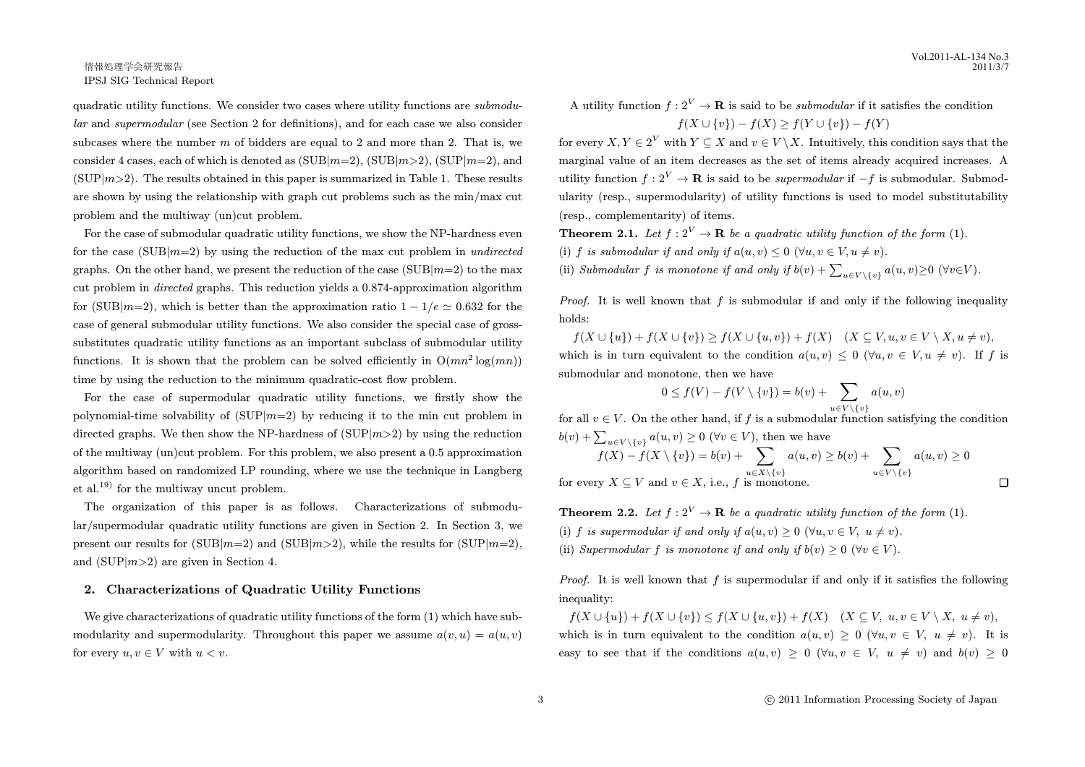$\Box$ 

### 情報処理学会研究報告 IPSJ SIG Technical Report

quadratic utility functions. We consider two cases where utility functions are *submodu*lar and *supermodular* (see Section 2 for definitions), and for each case we also consider subcases where the number  $m$  of bidders are equal to 2 and more than 2. That is, we consider 4 cases, each of which is denoted as  $(SUB|m=2)$ ,  $(SUB|m>2)$ ,  $(SUP|m=2)$ , and  $(SUP|m>2)$ . The results obtained in this paper is summarized in Table 1. These results are shown by using the relationship with graph cut problems such as the min/max cut problem and the multiway (un)cut problem.

For the case of submodular quadratic utility functions, we show the NP-hardness even for the case  $(SUB|m=2)$  by using the reduction of the max cut problem in undirected graphs. On the other hand, we present the reduction of the case (SUB $|m=2\rangle$  to the max cut problem in directed graphs. This reduction yields a 0.874-approximation algorithm for (SUB|m=2), which is better than the approximation ratio  $1 - 1/e \simeq 0.632$  for the case of general submodular utility functions. We also consider the special case of grosssubstitutes quadratic utility functions as an important subclass of submodular utility functions. It is shown that the problem can be solved efficiently in  $O(mn^2 \log(mn))$ time by using the reduction to the minimum quadratic-cost flow problem.

For the case of supermodular quadratic utility functions, we firstly show the polynomial-time solvability of  $(SUP|m=2)$  by reducing it to the min cut problem in directed graphs. We then show the NP-hardness of  $(SUP|m>2)$  by using the reduction of the multiway (un)cut problem. For this problem, we also present a 0.5 approximation algorithm based on randomized LP rounding, where we use the technique in Langberg et al.<sup>19)</sup> for the multiway uncut problem.

The organization of this paper is as follows. Characterizations of submodular/supermodular quadratic utility functions are given in Section 2. In Section 3, we present our results for  $(SUB|m=2)$  and  $(SUB|m>2)$ , while the results for  $(SUP|m=2)$ . and  $(SUP|m>2)$  are given in Section 4.

### 2. Characterizations of Quadratic Utility Functions

We give characterizations of quadratic utility functions of the form (1) which have submodularity and supermodularity. Throughout this paper we assume  $a(v, u) = a(u, v)$ for every  $u, v \in V$  with  $u < v$ .

A utility function  $f: 2^V \to \mathbf{R}$  is said to be *submodular* if it satisfies the condition  $f(X \cup \{v\}) - f(X) > f(Y \cup \{v\}) - f(Y)$ 

for every  $X, Y \in 2^V$  with  $Y \subset X$  and  $v \in V \setminus X$ . Intuitively, this condition says that the marginal value of an item decreases as the set of items already acquired increases. A utility function  $f: 2^V \to \mathbf{R}$  is said to be *supermodular* if  $-f$  is submodular. Submodularity (resp., supermodularity) of utility functions is used to model substitutability (resp., complementarity) of items.

**Theorem 2.1.** Let  $f: 2^V \to \mathbf{R}$  be a quadratic utility function of the form (1).

(i) f is submodular if and only if  $a(u, v) \leq 0 \ (\forall u, v \in V, u \neq v)$ .

(ii) Submodular f is monotone if and only if  $b(v) + \sum_{u \in V \setminus \{v\}} a(u, v) \ge 0 \ (\forall v \in V)$ .

*Proof.* It is well known that f is submodular if and only if the following inequality holds:

 $f(X \cup \{u\}) + f(X \cup \{v\}) > f(X \cup \{u, v\}) + f(X)$   $(X \subset V, u, v \in V \setminus X, u \neq v)$ , which is in turn equivalent to the condition  $a(u, v) \leq 0$   $(\forall u, v \in V, u \neq v)$ . If f is submodular and monotone, then we have

$$
0 \le f(V) - f(V \setminus \{v\}) = b(v) + \sum_{u \in V \setminus \{v\}} a(u, v)
$$

for all  $v \in V$ . On the other hand, if f is a submodular function satisfying the condition  $b(v) + \sum_{u \in V \setminus \{v\}} a(u, v) \ge 0 \ (\forall v \in V)$ , then we have

$$
f(X) - f(X \setminus \{v\}) = b(v) + \sum_{u \in X \setminus \{v\}} a(u, v) \ge b(v) + \sum_{u \in V \setminus \{v\}} a(u, v) \ge 0
$$
  
for every  $X \subseteq V$  and  $v \in X$ , i.e., f is monotone.

**Theorem 2.2.** Let  $f: 2^V \to \mathbf{R}$  be a quadratic utility function of the form (1).

- (i) f is supermodular if and only if  $a(u, v) > 0$  ( $\forall u, v \in V, u \neq v$ ).
- (ii) Supermodular f is monotone if and only if  $b(v) \geq 0$  ( $\forall v \in V$ ).

*Proof.* It is well known that f is supermodular if and only if it satisfies the following inequality:

 $f(X \cup \{u\}) + f(X \cup \{v\}) \leq f(X \cup \{u,v\}) + f(X)$   $(X \subseteq V, u, v \in V \setminus X, u \neq v)$ , which is in turn equivalent to the condition  $a(u, v) > 0$  ( $\forall u, v \in V, u \neq v$ ). It is easy to see that if the conditions  $a(u, v) \ge 0$   $(\forall u, v \in V, u \ne v)$  and  $b(v) \ge 0$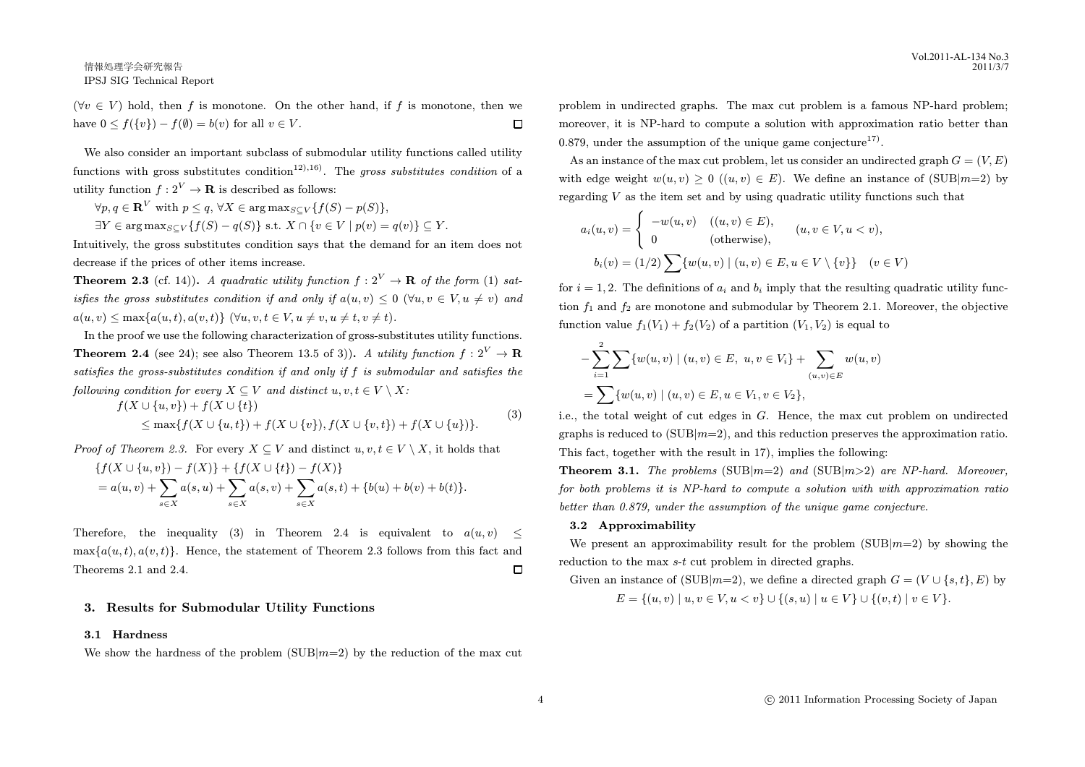$(\forall v \in V)$  hold, then f is monotone. On the other hand, if f is monotone, then we have  $0 \le f({v}) - f(\emptyset) = b(v)$  for all  $v \in V$ .  $\Box$ 

We also consider an important subclass of submodular utility functions called utility functions with gross substitutes condition<sup>12),16</sup>. The *gross substitutes condition* of a utility function  $f: 2^V \to \mathbf{R}$  is described as follows:

 $\forall p, q \in \mathbf{R}^V$  with  $p \leq q$ ,  $\forall X \in \arg \max_{S \subseteq V} \{f(S) - p(S)\},\$ 

 $\exists Y \in \arg \max_{S \subseteq V} \{f(S) - q(S)\}\$ s.t.  $X \cap \{v \in V \mid p(v) = q(v)\} \subseteq Y$ .

Intuitively, the gross substitutes condition says that the demand for an item does not decrease if the prices of other items increase.

**Theorem 2.3** (cf. 14)). A quadratic utility function  $f: 2^V \to \mathbf{R}$  of the form (1) satisfies the gross substitutes condition if and only if  $a(u, v) \leq 0$   $(\forall u, v \in V, u \neq v)$  and  $a(u, v) \leq \max\{a(u, t), a(v, t)\}$   $(\forall u, v, t \in V, u \neq v, u \neq t, v \neq t).$ 

In the proof we use the following characterization of gross-substitutes utility functions. **Theorem 2.4** (see 24); see also Theorem 13.5 of 3)). A utility function  $f: 2^V \to \mathbb{R}$ satisfies the gross-substitutes condition if and only if f is submodular and satisfies the following condition for every  $X \subseteq V$  and distinct  $u, v, t \in V \setminus X$ :

$$
f(X \cup \{u, v\}) + f(X \cup \{t\})
$$
  
\n
$$
\leq \max\{f(X \cup \{u, t\}) + f(X \cup \{v\}), f(X \cup \{v, t\}) + f(X \cup \{u\})\}. \tag{3}
$$

*Proof of Theorem 2.3.* For every  $X \subseteq V$  and distinct  $u, v, t \in V \setminus X$ , it holds that

$$
\{f(X \cup \{u,v\}) - f(X)\} + \{f(X \cup \{t\}) - f(X)\}
$$
  
=  $a(u,v) + \sum_{s \in X} a(s,u) + \sum_{s \in X} a(s,v) + \sum_{s \in X} a(s,t) + \{b(u) + b(v) + b(t)\}.$ 

Therefore, the inequality (3) in Theorem 2.4 is equivalent to  $a(u, v)$  <  $\max\{a(u, t), a(v, t)\}\$ . Hence, the statement of Theorem 2.3 follows from this fact and  $\Box$ Theorems 2.1 and 2.4.

#### 3. Results for Submodular Utility Functions

#### 3.1 Hardness

We show the hardness of the problem (SUB $|m=2\rangle$  by the reduction of the max cut

problem in undirected graphs. The max cut problem is a famous NP-hard problem; moreover, it is NP-hard to compute a solution with approximation ratio better than 0.879, under the assumption of the unique game conjecture<sup>17</sup>.

As an instance of the max cut problem, let us consider an undirected graph  $G = (V, E)$ with edge weight  $w(u, v) \ge 0$   $((u, v) \in E)$ . We define an instance of  $(SUB|m=2)$  by regarding  $V$  as the item set and by using quadratic utility functions such that

$$
a_i(u, v) = \begin{cases} -w(u, v) & ((u, v) \in E), \\ 0 & (\text{otherwise}), \end{cases} (u, v \in V, u < v),
$$
  

$$
b_i(v) = (1/2) \sum \{w(u, v) \mid (u, v) \in E, u \in V \setminus \{v\} \} \quad (v \in V)
$$

for  $i = 1, 2$ . The definitions of a<sub>i</sub> and b<sub>i</sub> imply that the resulting quadratic utility function  $f_1$  and  $f_2$  are monotone and submodular by Theorem 2.1. Moreover, the objective function value  $f_1(V_1) + f_2(V_2)$  of a partition  $(V_1, V_2)$  is equal to

$$
-\sum_{i=1}^{2} \sum \{w(u,v) \mid (u,v) \in E, \ u, v \in V_i\} + \sum_{(u,v) \in E} w(u,v)
$$

$$
= \sum \{w(u,v) \mid (u,v) \in E, u \in V_1, v \in V_2\},\
$$

i.e., the total weight of cut edges in G. Hence, the max cut problem on undirected graphs is reduced to  $(SUB|m=2)$ , and this reduction preserves the approximation ratio. This fact, together with the result in 17), implies the following:

**Theorem 3.1.** The problems  $(SUB|m=2)$  and  $(SUB|m>2)$  are NP-hard. Moreover, for both problems it is NP-hard to compute a solution with with approximation ratio better than 0.879, under the assumption of the unique game conjecture.

#### 3.2 Approximability

We present an approximability result for the problem ( $SUB|m=2$ ) by showing the reduction to the max s-t cut problem in directed graphs.

Given an instance of (SUB|m=2), we define a directed graph  $G = (V \cup \{s, t\}, E)$  by

$$
E = \{(u, v) \mid u, v \in V, u < v\} \cup \{(s, u) \mid u \in V\} \cup \{(v, t) \mid v \in V\}.
$$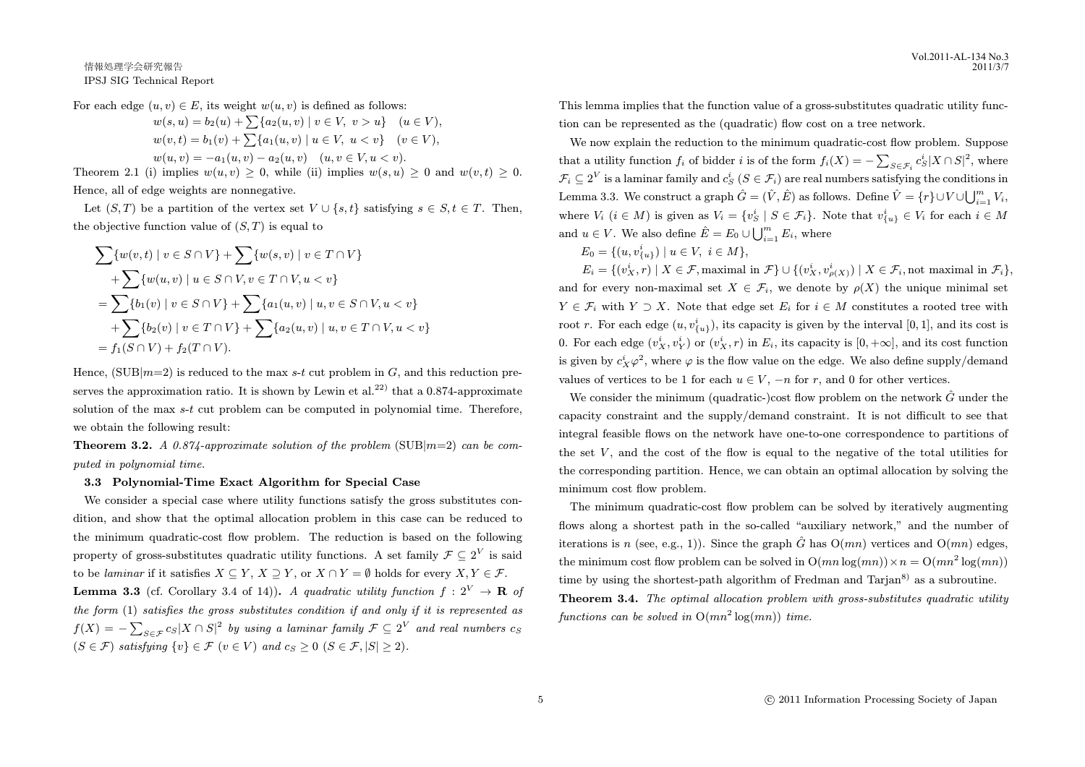For each edge  $(u, v) \in E$ , its weight  $w(u, v)$  is defined as follows:

$$
w(s, u) = b_2(u) + \sum \{a_2(u, v) \mid v \in V, v > u\} \quad (u \in V),
$$
  
\n
$$
w(v, t) = b_1(v) + \sum \{a_1(u, v) \mid u \in V, u < v\} \quad (v \in V),
$$
  
\n
$$
w(u, v) = -a_1(u, v) - a_2(u, v) \quad (u, v \in V, u < v).
$$

Theorem 2.1 (i) implies  $w(u, v) \geq 0$ , while (ii) implies  $w(s, u) \geq 0$  and  $w(v, t) \geq 0$ . Hence, all of edge weights are nonnegative.

Let  $(S, T)$  be a partition of the vertex set  $V \cup \{s, t\}$  satisfying  $s \in S, t \in T$ . Then, the objective function value of  $(S, T)$  is equal to

$$
\sum \{w(v,t) \mid v \in S \cap V\} + \sum \{w(s,v) \mid v \in T \cap V\}
$$
  
+ 
$$
\sum \{w(u,v) \mid u \in S \cap V, v \in T \cap V, u < v\}
$$
  
= 
$$
\sum \{b_1(v) \mid v \in S \cap V\} + \sum \{a_1(u,v) \mid u, v \in S \cap V, u < v\}
$$
  
+ 
$$
\sum \{b_2(v) \mid v \in T \cap V\} + \sum \{a_2(u,v) \mid u, v \in T \cap V, u < v\}
$$
  
= 
$$
f_1(S \cap V) + f_2(T \cap V).
$$

Hence,  $(SUB|m=2)$  is reduced to the max s-t cut problem in G, and this reduction preserves the approximation ratio. It is shown by Lewin et al.<sup>22)</sup> that a 0.874-approximate solution of the max  $s-t$  cut problem can be computed in polynomial time. Therefore, we obtain the following result:

**Theorem 3.2.** A 0.874-approximate solution of the problem (SUB|m=2) can be computed in polynomial time.

### 3.3 Polynomial-Time Exact Algorithm for Special Case

We consider a special case where utility functions satisfy the gross substitutes condition, and show that the optimal allocation problem in this case can be reduced to the minimum quadratic-cost flow problem. The reduction is based on the following property of gross-substitutes quadratic utility functions. A set family  $\mathcal{F} \subseteq 2^V$  is said to be laminar if it satisfies  $X \subseteq Y$ ,  $X \supseteq Y$ , or  $X \cap Y = \emptyset$  holds for every  $X, Y \in \mathcal{F}$ . **Lemma 3.3** (cf. Corollary 3.4 of 14)). A quadratic utility function  $f: 2^V \rightarrow \mathbb{R}$  of the form (1) satisfies the gross substitutes condition if and only if it is represented as  $f(X) = -\sum_{S \in \mathcal{F}} c_S |X \cap S|^2$  by using a laminar family  $\mathcal{F} \subseteq 2^V$  and real numbers  $c_S$  $(S \in \mathcal{F})$  satisfying  $\{v\} \in \mathcal{F}$   $(v \in V)$  and  $c_S > 0$   $(S \in \mathcal{F}, |S| > 2)$ .

This lemma implies that the function value of a gross-substitutes quadratic utility function can be represented as the (quadratic) flow cost on a tree network.

We now explain the reduction to the minimum quadratic-cost flow problem. Suppose that a utility function  $f_i$  of bidder i is of the form  $f_i(X) = -\sum_{S \in \mathcal{F}_i} c_S^i |X \cap S|^2$ , where  $\mathcal{F}_i \subseteq 2^V$  is a laminar family and  $c_S^i$   $(S \in \mathcal{F}_i)$  are real numbers satisfying the conditions in Lemma 3.3. We construct a graph  $\hat{G} = (\hat{V}, \hat{E})$  as follows. Define  $\hat{V} = \{r\} \cup V \cup \bigcup_{i=1}^{m} V_i$ , where  $V_i$   $(i \in M)$  is given as  $V_i = \{v_S^i \mid S \in \mathcal{F}_i\}$ . Note that  $v_{\{u\}}^i \in V_i$  for each  $i \in M$ and  $u \in V$ . We also define  $\hat{E} = E_0 \cup \bigcup_{i=1}^m E_i$ , where

 $E_0 = \{ (u, v_{\{u\}}^i) \mid u \in V, i \in M \},\$ 

 $E_i = \{ (v_X^i, r) \mid X \in \mathcal{F}$ , maximal in  $\mathcal{F} \} \cup \{ (v_X^i, v_{\rho(X)}^i) \mid X \in \mathcal{F}_i$ , not maximal in  $\mathcal{F}_i \}$ , and for every non-maximal set  $X \in \mathcal{F}_i$ , we denote by  $\rho(X)$  the unique minimal set  $Y \in \mathcal{F}_i$  with  $Y \supset X$ . Note that edge set  $E_i$  for  $i \in M$  constitutes a rooted tree with root r. For each edge  $(u, v_{\{u\}}^i)$ , its capacity is given by the interval  $[0, 1]$ , and its cost is 0. For each edge  $(v_X^i, v_Y^i)$  or  $(v_X^i, r)$  in  $E_i$ , its capacity is  $[0, +\infty]$ , and its cost function is given by  $c_X^i \varphi^2$ , where  $\varphi$  is the flow value on the edge. We also define supply/demand values of vertices to be 1 for each  $u \in V$ ,  $-n$  for r, and 0 for other vertices.

We consider the minimum (quadratic-)cost flow problem on the network  $\hat{G}$  under the capacity constraint and the supply/demand constraint. It is not difficult to see that integral feasible flows on the network have one-to-one correspondence to partitions of the set  $V$ , and the cost of the flow is equal to the negative of the total utilities for the corresponding partition. Hence, we can obtain an optimal allocation by solving the minimum cost flow problem.

The minimum quadratic-cost flow problem can be solved by iteratively augmenting flows along a shortest path in the so-called "auxiliary network," and the number of iterations is n (see, e.g., 1)). Since the graph  $\hat{G}$  has  $O(mn)$  vertices and  $O(mn)$  edges, the minimum cost flow problem can be solved in  $O(mn \log(mn)) \times n = O(mn^2 \log(mn))$ time by using the shortest-path algorithm of Fredman and  $Tarian^{8}$  as a subroutine. Theorem 3.4. The optimal allocation problem with gross-substitutes quadratic utility functions can be solved in  $O(mn^2 \log(mn))$  time.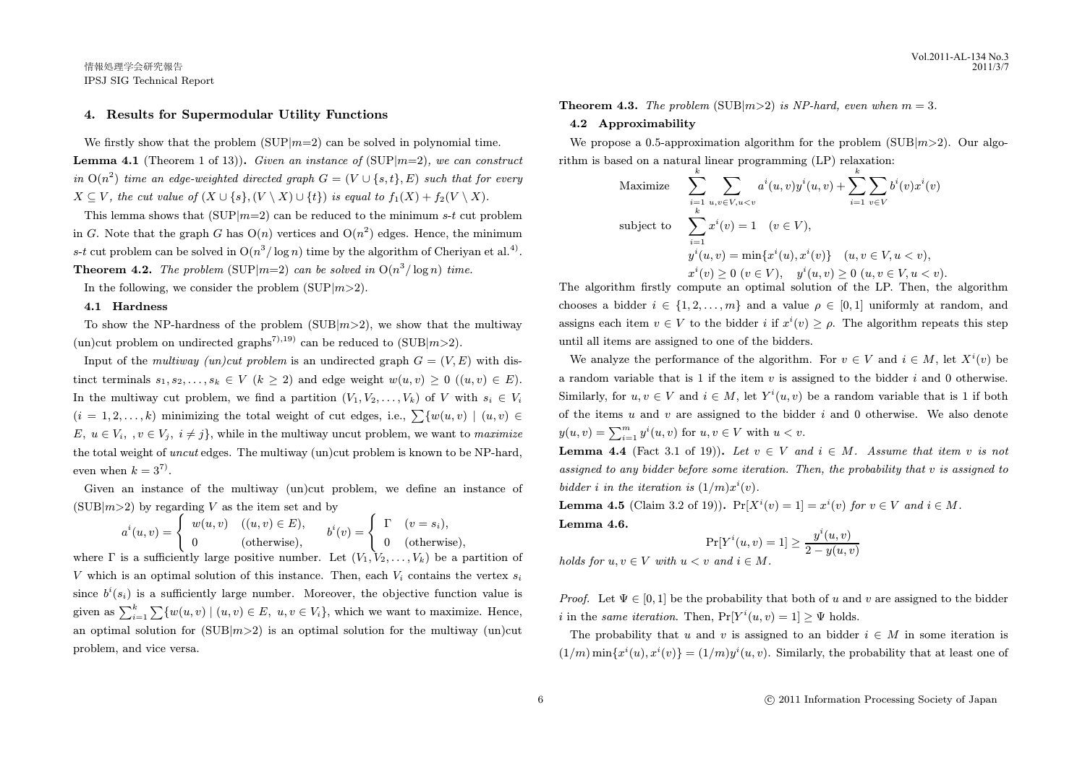#### 4. Results for Supermodular Utility Functions

We firstly show that the problem  $(SUP|m=2)$  can be solved in polynomial time. **Lemma 4.1** (Theorem 1 of 13)). Given an instance of  $(SUP|m=2)$ , we can construct in  $O(n^2)$  time an edge-weighted directed graph  $G = (V \cup \{s, t\}, E)$  such that for every  $X \subseteq V$ , the cut value of  $(X \cup \{s\}, (V \setminus X) \cup \{t\})$  is equal to  $f_1(X) + f_2(V \setminus X)$ .

This lemma shows that  $(SUP|m=2)$  can be reduced to the minimum s-t cut problem in G. Note that the graph G has  $O(n)$  vertices and  $O(n^2)$  edges. Hence, the minimum s-t cut problem can be solved in  $O(n^3/\log n)$  time by the algorithm of Cheriyan et al.<sup>4)</sup>. **Theorem 4.2.** The problem (SUP|m=2) can be solved in  $O(n^3/\log n)$  time.

In the following, we consider the problem  $(SUP|m>2)$ .

#### 4.1 Hardness

To show the NP-hardness of the problem (SUB $|m>2$ ), we show that the multiway (un)cut problem on undirected graphs<sup>7),19</sup> can be reduced to (SUB|m>2).

Input of the multiway (un)cut problem is an undirected graph  $G = (V, E)$  with distinct terminals  $s_1, s_2,..., s_k \in V$   $(k \geq 2)$  and edge weight  $w(u, v) \geq 0$   $((u, v) \in E)$ . In the multiway cut problem, we find a partition  $(V_1, V_2, \ldots, V_k)$  of V with  $s_i \in V_i$  $(i = 1, 2, \ldots, k)$  minimizing the total weight of cut edges, i.e.,  $\sum \{w(u, v) \mid (u, v) \in$ E,  $u \in V_i$ ,  $v \in V_j$ ,  $i \neq j$ , while in the multiway uncut problem, we want to maximize the total weight of uncut edges. The multiway (un)cut problem is known to be NP-hard. even when  $k = 3^{7}$ .

Given an instance of the multiway (un)cut problem, we define an instance of  $(SUB|m>2)$  by regarding V as the item set and by

$$
a^{i}(u,v) = \begin{cases} w(u,v) & ((u,v) \in E), \\ 0 & (\text{otherwise}), \end{cases} \qquad b^{i}(v) = \begin{cases} \Gamma & (v=s_{i}), \\ 0 & (\text{otherwise}), \end{cases}
$$

where  $\Gamma$  is a sufficiently large positive number. Let  $(V_1, V_2, \ldots, V_k)$  be a partition of V which is an optimal solution of this instance. Then, each  $V_i$  contains the vertex  $s_i$ since  $b^{i}(s_{i})$  is a sufficiently large number. Moreover, the objective function value is given as  $\sum_{i=1}^{k} \sum \{w(u, v) \mid (u, v) \in E, u, v \in V_i\}$ , which we want to maximize. Hence, an optimal solution for  $(SUB|m>2)$  is an optimal solution for the multiway (un)cut problem, and vice versa.

**Theorem 4.3.** The problem (SUB $|m>2$ ) is NP-hard, even when  $m=3$ .

#### 4.2 Approximability

We propose a 0.5-approximation algorithm for the problem ( $SUB|m>2$ ). Our algorithm is based on a natural linear programming (LP) relaxation:

$$
\begin{aligned}\n\text{Maximize} & \sum_{i=1}^{k} \sum_{u,v \in V, u < v} a^i(u,v) y^i(u,v) + \sum_{i=1}^{k} \sum_{v \in V} b^i(v) x^i(v) \\
\text{subject to} & \sum_{i=1}^{k} x^i(v) = 1 \quad (v \in V), \\
& y^i(u,v) = \min \{ x^i(u), x^i(v) \} \quad (u,v \in V, u < v), \\
& x^i(v) > 0 \quad (v \in V), \quad y^i(u,v) > 0 \quad (u,v \in V, u < v).\n\end{aligned}
$$

 $x^{i}(v) \ge 0$   $(v \in V)$ ,  $y^{i}(u, v) \ge 0$   $(u, v \in V, u \le v)$ .<br>The algorithm firstly compute an optimal solution of the LP. Then, the algorithm chooses a bidder  $i \in \{1, 2, ..., m\}$  and a value  $\rho \in [0, 1]$  uniformly at random, and assigns each item  $v \in V$  to the bidder i if  $x^i(v) \ge \rho$ . The algorithm repeats this step until all items are assigned to one of the bidders.

We analyze the performance of the algorithm. For  $v \in V$  and  $i \in M$ , let  $X^{i}(v)$  be a random variable that is 1 if the item  $v$  is assigned to the bidder  $i$  and 0 otherwise. Similarly, for  $u, v \in V$  and  $i \in M$ , let  $Y^i(u, v)$  be a random variable that is 1 if both of the items u and v are assigned to the bidder i and 0 otherwise. We also denote  $y(u, v) = \sum_{i=1}^{m} y^{i}(u, v)$  for  $u, v \in V$  with  $u < v$ .

**Lemma 4.4** (Fact 3.1 of 19)). Let  $v \in V$  and  $i \in M$ . Assume that item v is not assigned to any bidder before some iteration. Then, the probability that v is assigned to bidder i in the iteration is  $(1/m)x^{i}(v)$ .

**Lemma 4.5** (Claim 3.2 of 19)).  $Pr[X^{i}(v) = 1] = x^{i}(v)$  for  $v \in V$  and  $i \in M$ .

Lemma 4.6.

$$
\Pr[Y^{i}(u,v) = 1] \ge \frac{y^{i}(u,v)}{2 - y(u,v)}
$$

*holds for*  $u, v \in V$  with  $u < v$  and  $i \in M$ .

*Proof.* Let  $\Psi \in [0, 1]$  be the probability that both of u and v are assigned to the bidder *i* in the *same iteration*. Then,  $Pr[Y^{i}(u, v) = 1] \geq \Psi$  holds.

The probability that u and v is assigned to an bidder  $i \in M$  in some iteration is  $(1/m)$  min $\{x^{i}(u), x^{i}(v)\} = (1/m)y^{i}(u, v)$ . Similarly, the probability that at least one of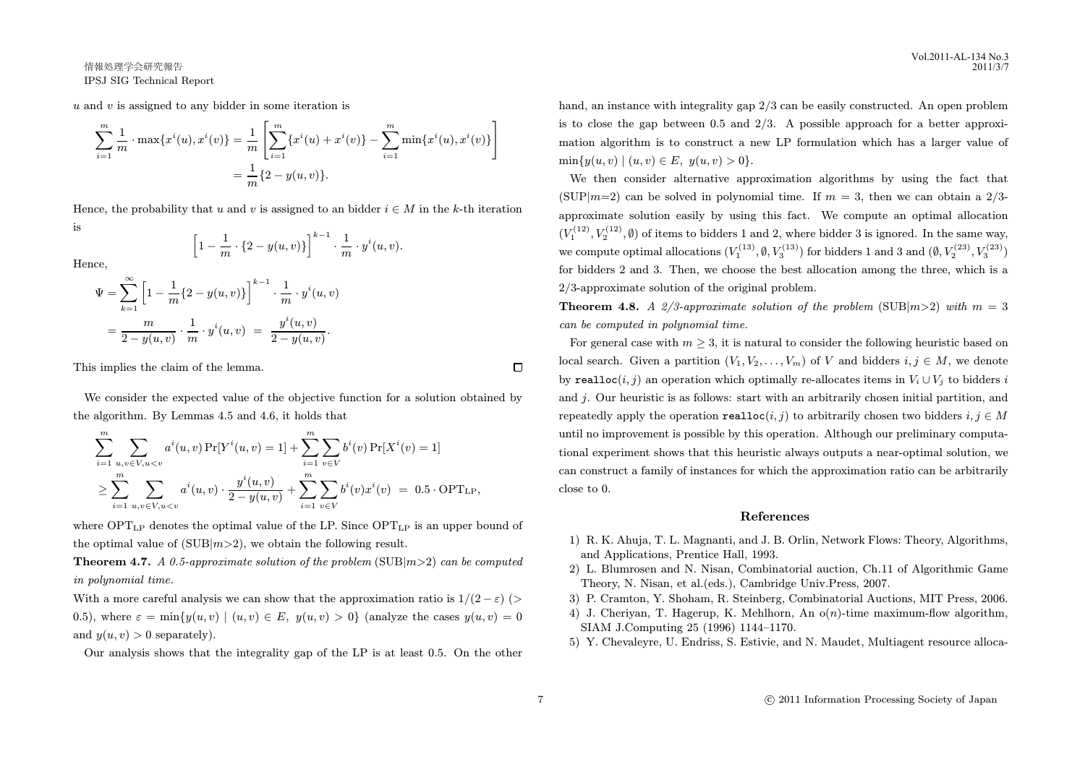$u$  and  $v$  is assigned to any bidder in some iteration is

$$
\sum_{i=1}^{m} \frac{1}{m} \cdot \max\{x^{i}(u), x^{i}(v)\} = \frac{1}{m} \left[ \sum_{i=1}^{m} \{x^{i}(u) + x^{i}(v)\} - \sum_{i=1}^{m} \min\{x^{i}(u), x^{i}(v)\} \right]
$$

$$
= \frac{1}{m} \{2 - y(u, v)\}.
$$

Hence, the probability that u and v is assigned to an bidder  $i \in M$  in the k-th iteration is

 $\left[1 - \frac{1}{m} \cdot \{2 - y(u, v)\}\right]^{k-1} \cdot \frac{1}{m} \cdot y^{i}(u, v).$ 

Hence,

 $\mathbf{v}$ 

$$
\Psi = \sum_{k=1}^{\infty} \left[ 1 - \frac{1}{m} \{ 2 - y(u, v) \} \right]^{k-1} \cdot \frac{1}{m} \cdot y^{i}(u, v)
$$
  
= 
$$
\frac{m}{2 - y(u, v)} \cdot \frac{1}{m} \cdot y^{i}(u, v) = \frac{y^{i}(u, v)}{2 - y(u, v)}.
$$

This implies the claim of the lemma.

 $\Box$ 

We consider the expected value of the objective function for a solution obtained by the algorithm. By Lemmas 4.5 and 4.6, it holds that

$$
\sum_{i=1}^{m} \sum_{u,v \in V, u\n
$$
\geq \sum_{i=1}^{m} \sum_{u,v \in V, u
$$
$$

where  $\text{OPT}_{\text{LP}}$  denotes the optimal value of the LP. Since  $\text{OPT}_{\text{LP}}$  is an upper bound of the optimal value of  $(SUB|m>2)$ , we obtain the following result.

**Theorem 4.7.** A 0.5-approximate solution of the problem (SUB $|m>2$ ) can be computed in polynomial time.

With a more careful analysis we can show that the approximation ratio is  $1/(2-\varepsilon)$  (> 0.5), where  $\varepsilon = \min\{y(u, v) \mid (u, v) \in E, y(u, v) > 0\}$  (analyze the cases  $y(u, v) = 0$ and  $y(u, v) > 0$  separately).

Our analysis shows that the integrality gap of the LP is at least 0.5. On the other

hand, an instance with integrality gap 2/3 can be easily constructed. An open problem is to close the gap between 0.5 and  $2/3$ . A possible approach for a better approximation algorithm is to construct a new LP formulation which has a larger value of  $\min\{y(u, v) \mid (u, v) \in E, y(u, v) > 0\}.$ 

We then consider alternative approximation algorithms by using the fact that  $(SUP|m=2)$  can be solved in polynomial time. If  $m = 3$ , then we can obtain a 2/3approximate solution easily by using this fact. We compute an optimal allocation  $(V_1^{(12)}, V_2^{(12)}, \emptyset)$  of items to bidders 1 and 2, where bidder 3 is ignored. In the same way, we compute optimal allocations  $(V_1^{(13)}, \emptyset, V_3^{(13)})$  for bidders 1 and 3 and  $(\emptyset, V_2^{(23)}, V_3^{(23)})$ for bidders 2 and 3. Then, we choose the best allocation among the three, which is a 2/3-approximate solution of the original problem.

**Theorem 4.8.** A 2/3-approximate solution of the problem (SUB|m>2) with  $m = 3$ can be computed in polynomial time.

For general case with  $m \geq 3$ , it is natural to consider the following heuristic based on local search. Given a partition  $(V_1, V_2, \ldots, V_m)$  of V and bidders  $i, j \in M$ , we denote by realloc(*i, j*) an operation which optimally re-allocates items in  $V_i \cup V_j$  to bidders *i* and j. Our heuristic is as follows: start with an arbitrarily chosen initial partition, and repeatedly apply the operation realloc(*i, j*) to arbitrarily chosen two bidders  $i, j \in M$ until no improvement is possible by this operation. Although our preliminary computational experiment shows that this heuristic always outputs a near-optimal solution, we can construct a family of instances for which the approximation ratio can be arbitrarily close to 0.

### References

- 1) R. K. Ahuja, T. L. Magnanti, and J. B. Orlin, Network Flows: Theory, Algorithms, and Applications, Prentice Hall, 1993.
- 2) L. Blumrosen and N. Nisan, Combinatorial auction, Ch.11 of Algorithmic Game Theory, N. Nisan, et al.(eds.), Cambridge Univ.Press, 2007.
- 3) P. Cramton, Y. Shoham, R. Steinberg, Combinatorial Auctions, MIT Press, 2006.
- 4) J. Cheriyan, T. Hagerup, K. Mehlhorn, An  $o(n)$ -time maximum-flow algorithm, SIAM J.Computing 25 (1996) 1144—1170.
- 5) Y. Chevaleyre, U. Endriss, S. Estivie, and N. Maudet, Multiagent resource alloca-